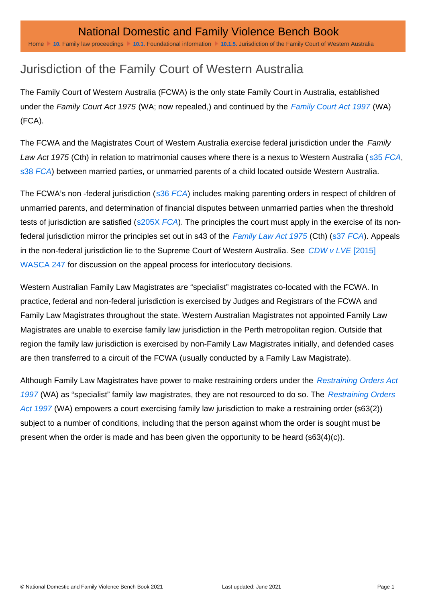## Jurisdiction of the Family Court of Western Australia

The Family Court of Western Australia (FCWA) is the only state Family Court in Australia, established under the Family Court Act 1975 (WA; now repealed,) and continued by the [Family Court Act 1997](http://www.austlii.edu.au/au/legis/wa/consol_act/fca1997153/) (WA) (FCA).

The FCWA and the Magistrates Court of Western Australia exercise federal jurisdiction under the Family Law Act 1975 (Cth) in relation to matrimonial causes where there is a nexus to Western Australia ( [s35 FCA](http://www.austlii.edu.au/au/legis/wa/consol_act/fca1997153/s35.html), [s38 FCA](http://www.austlii.edu.au/au/legis/wa/consol_act/fca1997153/s38.html)) between married parties, or unmarried parents of a child located outside Western Australia.

The FCWA's non -federal jurisdiction ([s36 FCA](http://www.austlii.edu.au/au/legis/wa/consol_act/fca1997153/s36.html)) includes making parenting orders in respect of children of unmarried parents, and determination of financial disputes between unmarried parties when the threshold tests of jurisdiction are satisfied ([s205X FCA](http://www.austlii.edu.au/au/legis/wa/consol_act/fca1997153/s205x.html)). The principles the court must apply in the exercise of its nonfederal jurisdiction mirror the principles set out in s43 of the [Family Law Act 1975](http://www.austlii.edu.au/au/legis/cth/consol_act/fla1975114/) (Cth) ([s37 FCA\)](http://www.austlii.edu.au/au/legis/wa/consol_act/fca1997153/s37.html). Appeals in the non-federal jurisdiction lie to the Supreme Court of Western Australia. See [CDW v LVE](http://www.austlii.edu.au/au/cases/wa/WASCA/2015/247.html) [2015] [WASCA 247](http://www.austlii.edu.au/au/cases/wa/WASCA/2015/247.html) for discussion on the appeal process for interlocutory decisions.

Western Australian Family Law Magistrates are "specialist" magistrates co-located with the FCWA. In practice, federal and non-federal jurisdiction is exercised by Judges and Registrars of the FCWA and Family Law Magistrates throughout the state. Western Australian Magistrates not appointed Family Law Magistrates are unable to exercise family law jurisdiction in the Perth metropolitan region. Outside that region the family law jurisdiction is exercised by non-Family Law Magistrates initially, and defended cases are then transferred to a circuit of the FCWA (usually conducted by a Family Law Magistrate).

Although Family Law Magistrates have power to make restraining orders under the [Restraining Orders Act](http://www.austlii.edu.au/au/legis/wa/consol_act/ro82a1997200/)  [1997](http://www.austlii.edu.au/au/legis/wa/consol_act/ro82a1997200/) (WA) as "specialist" family law magistrates, they are not resourced to do so. The Restraining Orders [Act 1997](http://www.austlii.edu.au/au/legis/wa/consol_act/ro82a1997200/) (WA) empowers a court exercising family law jurisdiction to make a restraining order (s63(2)) subject to a number of conditions, including that the person against whom the order is sought must be present when the order is made and has been given the opportunity to be heard (s63(4)(c)).